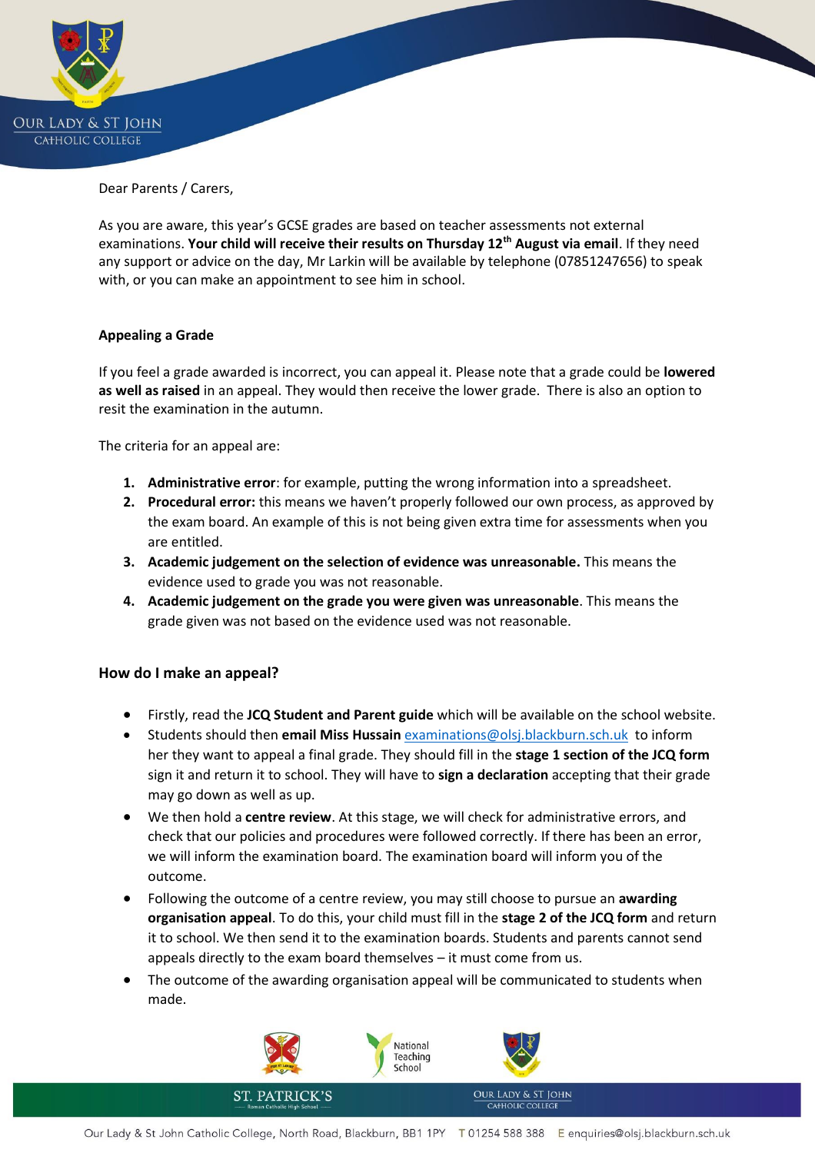

Dear Parents / Carers,

As you are aware, this year's GCSE grades are based on teacher assessments not external examinations. **Your child will receive their results on Thursday 12th August via email**. If they need any support or advice on the day, Mr Larkin will be available by telephone (07851247656) to speak with, or you can make an appointment to see him in school.

## **Appealing a Grade**

If you feel a grade awarded is incorrect, you can appeal it. Please note that a grade could be **lowered as well as raised** in an appeal. They would then receive the lower grade. There is also an option to resit the examination in the autumn.

The criteria for an appeal are:

- **1. Administrative error**: for example, putting the wrong information into a spreadsheet.
- **2. Procedural error:** this means we haven't properly followed our own process, as approved by the exam board. An example of this is not being given extra time for assessments when you are entitled.
- **3. Academic judgement on the selection of evidence was unreasonable.** This means the evidence used to grade you was not reasonable.
- **4. Academic judgement on the grade you were given was unreasonable**. This means the grade given was not based on the evidence used was not reasonable.

## **How do I make an appeal?**

- Firstly, read the **JCQ Student and Parent guide** which will be available on the school website.
- Students should then **email Miss Hussain** [examinations@olsj.blackburn.sch.uk](mailto:examinations@olsj.blackburn.sch.uk) to inform her they want to appeal a final grade. They should fill in the **stage 1 section of the JCQ form** sign it and return it to school. They will have to **sign a declaration** accepting that their grade may go down as well as up.
- We then hold a **centre review**. At this stage, we will check for administrative errors, and check that our policies and procedures were followed correctly. If there has been an error, we will inform the examination board. The examination board will inform you of the outcome.
- Following the outcome of a centre review, you may still choose to pursue an **awarding organisation appeal**. To do this, your child must fill in the **stage 2 of the JCQ form** and return it to school. We then send it to the examination boards. Students and parents cannot send appeals directly to the exam board themselves – it must come from us.
- The outcome of the awarding organisation appeal will be communicated to students when made.

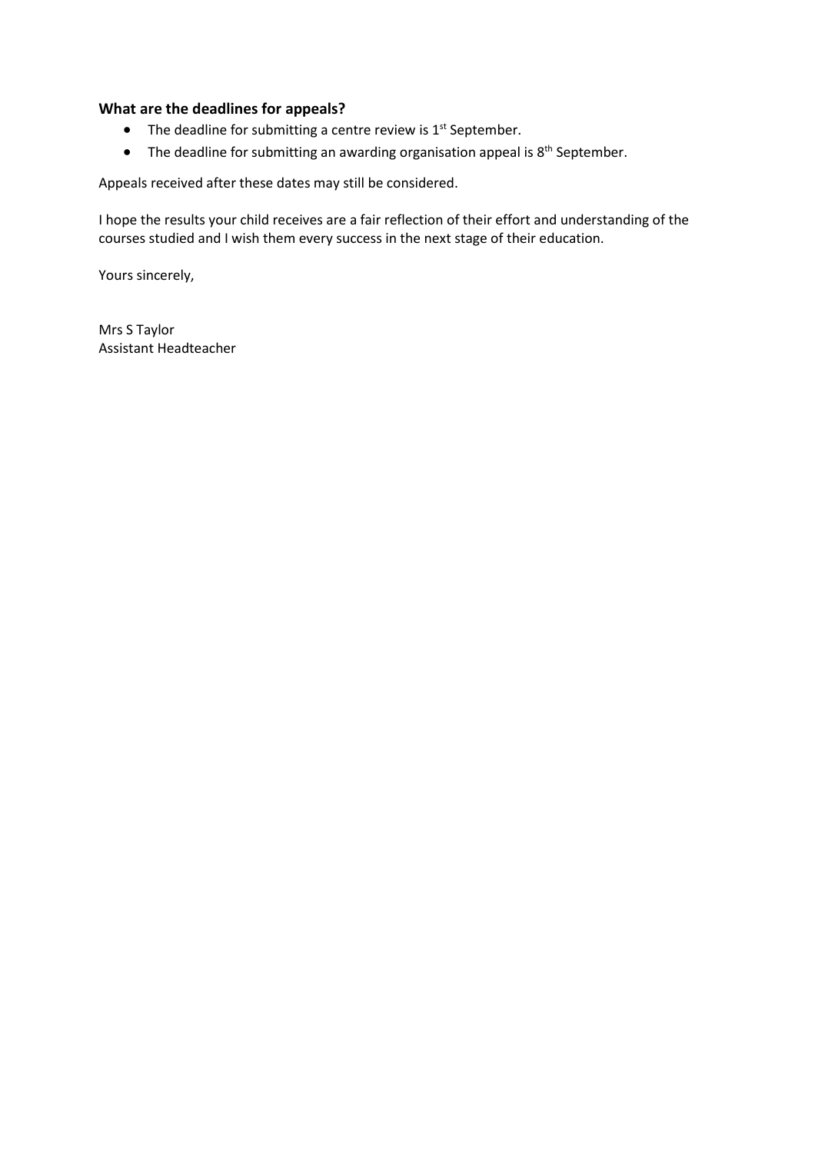## **What are the deadlines for appeals?**

- The deadline for submitting a centre review is  $1<sup>st</sup>$  September.
- The deadline for submitting an awarding organisation appeal is 8<sup>th</sup> September.

Appeals received after these dates may still be considered.

I hope the results your child receives are a fair reflection of their effort and understanding of the courses studied and I wish them every success in the next stage of their education.

Yours sincerely,

Mrs S Taylor Assistant Headteacher